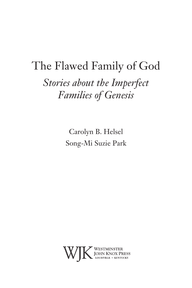# The Flawed Family of God *Stories about the Imperfect Families of Genesis*

Carolyn B. Helsel Song-Mi Suzie Park

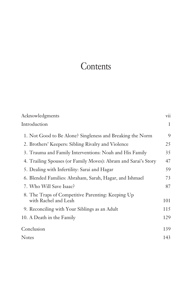# **Contents**

| Acknowledgments                                                           | vii |
|---------------------------------------------------------------------------|-----|
| Introduction                                                              | 1   |
| 1. Not Good to Be Alone? Singleness and Breaking the Norm                 | 9   |
| 2. Brothers' Keepers: Sibling Rivalry and Violence                        | 25  |
| 3. Trauma and Family Interventions: Noah and His Family                   | 35  |
| 4. Trailing Spouses (or Family Moves): Abram and Sarai's Story            | 47  |
| 5. Dealing with Infertility: Sarai and Hagar                              | 59  |
| 6. Blended Families: Abraham, Sarah, Hagar, and Ishmael                   | 73  |
| 7. Who Will Save Isaac?                                                   | 87  |
| 8. The Traps of Competitive Parenting: Keeping Up<br>with Rachel and Leah | 101 |
| 9. Reconciling with Your Siblings as an Adult                             | 115 |
| 10. A Death in the Family                                                 | 129 |
| Conclusion                                                                | 139 |
| <b>Notes</b>                                                              | 143 |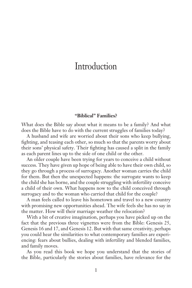### **Introduction**

#### **"Biblical" Families?**

What does the Bible say about what it means to be a family? And what does the Bible have to do with the current struggles of families today?

A husband and wife are worried about their sons who keep bullying, fighting, and teasing each other, so much so that the parents worry about their sons' physical safety. Their fighting has caused a split in the family as each parent lines up to the side of one child or the other.

An older couple have been trying for years to conceive a child without success. They have given up hope of being able to have their own child, so they go through a process of surrogacy. Another woman carries the child for them. But then the unexpected happens: the surrogate wants to keep the child she has borne, and the couple struggling with infertility conceive a child of their own. What happens now to the child conceived through surrogacy and to the woman who carried that child for the couple?

A man feels called to leave his hometown and travel to a new country with promising new opportunities ahead. The wife feels she has no say in the matter. How will their marriage weather the relocation?

With a bit of creative imagination, perhaps you have picked up on the fact that the previous three vignettes were from the Bible: Genesis 25, Genesis 16 and 17, and Genesis 12. But with that same creativity, perhaps you could hear the similarities to what contemporary families are experiencing: fears about bullies, dealing with infertility and blended families, and family moves.

As you read this book we hope you understand that the stories of the Bible, particularly the stories about families, have relevance for the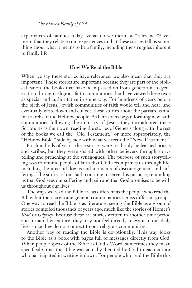experiences of families today. What do we mean by "relevance"? We mean that they relate to our experiences in that these stories tell us something about what it means to be a family, including the struggles inherent to family life.

#### **How We Read the Bible**

When we say these stories have relevance, we also mean that they are important. These stories are important because they are part of the biblical canon, the books that have been passed on from generation to generation through religious faith communities that have viewed these texts as special and authoritative in some way. For hundreds of years before the birth of Jesus, Jewish communities of faith would tell and hear, and eventually write down and collect, these stories about the patriarchs and matriarchs of the Hebrew people. As Christians began forming new faith communities following the ministry of Jesus, they too adopted these Scriptures as their own, reading the stories of Genesis along with the rest of the books we call the "Old Testament," or more appropriately, the "Hebrew Bible," side by side with what we term the "New Testament."

For hundreds of years, these stories were read only by learned priests and scribes, but they were shared with other believers through storytelling and preaching at the synagogues. The purpose of such storytelling was to remind people of faith that God accompanies us through life, including the ups and downs and moments of discouragement and suffering. The stories of our faith continue to serve this purpose, reminding us that God sees our suffering and pain and that God promises to be with us throughout our lives.

The ways we read the Bible are as different as the people who read the Bible, but there are some general commonalities across different groups. One way to read the Bible is as literature: seeing the Bible as a group of stories compiled thousands of years ago, much like the stories of Homer's *Iliad* or *Odyssey*. Because these are stories written in another time period and for another culture, they may not feel directly relevant to our daily lives since they do not connect to our religious communities.

Another way of reading the Bible is devotionally. This way looks to the Bible as a book with pages full of messages directly from God. When people speak of the Bible as God's Word, sometimes they mean specifically that the Bible was actually dictated by God to each author who participated in writing it down. For people who read the Bible this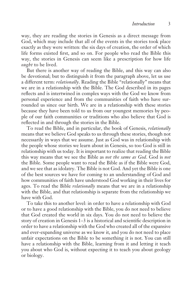way, they are reading the stories in Genesis as a direct message from God, which may include that all of the events in the stories took place exactly as they were written: the six days of creation, the order of which life forms existed first, and so on. For people who read the Bible this way, the stories in Genesis can seem like a prescription for how life *ought* to be lived.

But there is another way of reading the Bible, and this way can also be devotional; but to distinguish it from the paragraph above, let us use a different term: *relationally*. Reading the Bible "relationally" means that we are in a relationship with the Bible. The God described in its pages reflects and is intertwined in complex ways with the God we know from personal experience and from the communities of faith who have surrounded us since our birth. We are in a relationship with these stories because they have been told to us from our youngest memories by people of our faith communities or traditions who also believe that God is reflected in and through the stories in the Bible.

To read the Bible, and in particular, the book of Genesis, *relationally*  means that we believe God speaks to us through these stories, though not necessarily in ways that we assume. Just as God was in relationship with the people whose stories we learn about in Genesis, so too God is still in relationship with us today. It is important to realize that reading the Bible this way means that we see the Bible as *not the same as God*. God is *not* the Bible. Some people want to read the Bible as if the Bible were God, and we see that as idolatry. The Bible is not God. And yet the Bible is one of the best sources we have for coming to an understanding of God and how communities of faith have understood God working in their lives for ages. To read the Bible *relationally* means that we are in a relationship with the Bible, and that relationship is separate from the relationship we have with God.

To take this to another level: in order to have a relationship with God or to have a good relationship with the Bible, you do not need to believe that God created the world in six days. You do not need to believe the story of creation in Genesis 1–3 is a historical and scientific description in order to have a relationship with the God who created all of the expansive and ever-expanding universe as we know it, and you do not need to place unfair expectations on the Bible to be something it is not. You can still have a relationship with the Bible, learning from it and letting it teach you about who God is, without expecting it to teach you about geology or biology.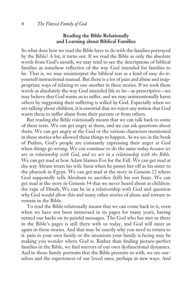#### **Reading the Bible Relationally and Learning about Biblical Families**

So what does how we read the Bible have to do with the families portrayed by the Bible? A lot, it turns out. If we read the Bible as only the absolute words from God's mouth, we may tend to see the descriptions of biblical families as somehow reflective of the way God intended for families to be. That is, we may misinterpret the biblical text as a kind of easy do-ityourself instructional manual. But there is a lot of pain and abuse and inappropriate ways of relating to one another in these stories. If we took these words as absolutely the way God intended life to be—as prescriptive—we may believe that God wants us to suffer, and we may unintentionally harm others by suggesting their suffering is willed by God. Especially when we are talking about children, it is essential that we reject any notion that God wants them to suffer abuse from their parents or from others.

But reading the Bible *relationally* means that we can talk back to some of these texts. We can get angry at them, and we can ask questions about them. We can get angry at the God or the various characters mentioned in these stories who allowed these things to happen. As we see in the book of Psalms, God's people are constantly expressing their anger at God when things go wrong. We can continue to do the same today *because we are in relationship with God, and we are in a relationship with the Bible.* We can get mad at how Adam blames Eve for the Fall. We can get mad at the way Abram treats his wife Sarai when he passes her off as his sister to the pharaoh in Egypt. We can get mad at the story in Genesis 22 where God supposedly tells Abraham to sacrifice (kill) his son Isaac. We can get mad at the story in Genesis 34 that we never heard about as children: the rape of Dinah. We can be in a relationship with God and question why God would allow this and many other stories of abuse and torture to remain in the Bible.

To read the Bible relationally means that we can come back to it, even when we have not been immersed in its pages for many years, having turned our backs on its painful messages. The God who has met us there in the Bible's pages is still there with us today, and God will meet us again in these stories. And that may be exactly why you need to return to it: pain in your own family or the situations your family is facing may be making you wonder where God is. Rather than finding picture-perfect families in the Bible, we find mirrors of our own dysfunctional dynamics. And in those family portraits that the Bible presents us with, we see ourselves and the experiences of our loved ones, perhaps in new ways. And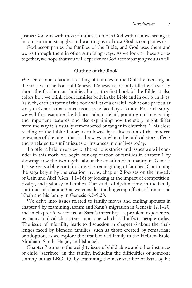just as God was with those families, so too is God with us now, seeing us in our pain and struggles and wanting us to know God accompanies us.

God accompanies the families of the Bible, and God uses them and works through them in often surprising ways. As we look at these stories together, we hope that you will experience God accompanying you as well.

#### **Outline of the Book**

We center our relational reading of families in the Bible by focusing on the stories in the book of Genesis. Genesis is not only filled with stories about the first human families, but as the first book of the Bible, it also colors how we think about families both in the Bible and in our own lives. As such, each chapter of this book will take a careful look at one particular story in Genesis that concerns an issue faced by a family. For each story, we will first examine the biblical tale in detail, pointing out interesting and important features, and also explaining how the story might differ from the way it is usually remembered or taught in churches. This close reading of the biblical story is followed by a discussion of the modern relevance of the tale—that is, the ways in which the biblical story affects and is related to similar issues or instances in our lives today.

To offer a brief overview of the various stories and issues we will consider in this work, we begin our exploration of families in chapter 1 by showing how the two myths about the creation of humanity in Genesis 1–3 serve as a blueprint for a diverse reimagining of families. Continuing the saga begun by the creation myths, chapter 2 focuses on the tragedy of Cain and Abel (Gen. 4:1–16) by looking at the impact of competition, rivalry, and jealousy in families. Our study of dysfunctions in the family continues in chapter 3 as we consider the lingering effects of trauma on Noah and his family in Genesis 6:5–9:28.

We delve into issues related to family moves and trailing spouses in chapter 4 by examining Abram and Sarai's migration in Genesis 12:1–20; and in chapter 5, we focus on Sarai's infertility—a problem experienced by many biblical characters—and one which still affects people today. The issue of infertility leads to discussion in chapter 6 about the challenges faced by blended families, such as those created by remarriage or adoption, as we explore the first blended family in the Hebrew Bible: Abraham, Sarah, Hagar, and Ishmael.

Chapter 7 turns to the weighty issue of child abuse and other instances of child "sacrifice" in the family, including the difficulties of someone coming out as LBGTQ, by examining the near sacrifice of Isaac by his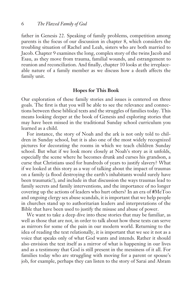father in Genesis 22. Speaking of family problems, competition among parents is the focus of our discussion in chapter 8, which considers the troubling situation of Rachel and Leah, sisters who are both married to Jacob. Chapter 9 examines the long, complex story of the twins Jacob and Esau, as they move from trauma, familial wounds, and estrangement to reunion and reconciliation. And finally, chapter 10 looks at the irreplaceable nature of a family member as we discuss how a death affects the family unit.

#### **Hopes for This Book**

Our exploration of these family stories and issues is centered on three goals. The first is that you will be able to see the relevance and connections between these biblical texts and the struggles of families today. This means looking deeper at the book of Genesis and exploring stories that may have been missed in the traditional Sunday school curriculum you learned as a child.

For instance, the story of Noah and the ark is not only told to children in Sunday school, but it is also one of the most widely recognized pictures for decorating the rooms in which we teach children Sunday school. But what if we look more closely at Noah's story as it unfolds, especially the scene where he becomes drunk and curses his grandson, a curse that Christians used for hundreds of years to justify slavery? What if we looked at this story as a way of talking about the impact of traumas on a family (a flood destroying the earth's inhabitants would surely have been traumatic!), and include in that discussion the ways traumas lead to family secrets and family interventions, and the importance of no longer covering up the actions of leaders who hurt others? In an era of #MeToo and ongoing clergy sex abuse scandals, it is important that we help people in churches stand up to authoritarian leaders and interpretations of the Bible that have been used to justify the misuse and abuse of power.

We want to take a deep dive into these stories that may be familiar, as well as those that are not, in order to talk about how these texts can serve as mirrors for some of the pain in our modern world. Returning to the idea of reading the text relationally, it is important that we see it not as a voice that speaks only of what God wants and intends. Rather it should also envision the text itself as a mirror of what is happening in our lives and as a testimony that God is still present in the messiness of it all. For families today who are struggling with moving for a parent or spouse's job, for example, perhaps they can listen to the story of Sarai and Abram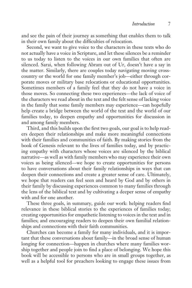and see the pain of their journey as something that enables them to talk in their own family about the difficulties of relocation.

Second, we want to give voice to the characters in these texts who do not actually have a voice in Scripture, and let these silences be a reminder to us today to listen to the voices in our own families that often are silenced. Sarai, when following Abram out of Ur, doesn't have a say in the matter. Similarly, there are couples today navigating moving crosscountry or the world for one family member's job—either through corporate moves or military base relocations or educational opportunities. Sometimes members of a family feel that they do not have a voice in those moves. So connecting these two experiences—the lack of voice of the characters we read about in the text and the felt sense of lacking voice in the family that some family members may experience—can hopefully help create a bridge between the world of the text and the world of our families today, to deepen empathy and opportunities for discussion in and among family members.

Third, and this builds upon the first two goals, our goal is to help readers deepen their relationships and make more meaningful connections with their families and communities of faith. By making stories from the book of Genesis relevant to the lives of families today, and by practicing empathy with characters whose voices are silenced by the biblical narrative—as well as with family members who may experience their own voices as being silenced—we hope to create opportunities for persons to have conversations about their family relationships in ways that can deepen their connections and create a greater sense of care. Ultimately, we hope that readers can feel seen and heard by God and by others in their family by discussing experiences common to many families through the lens of the biblical text and by cultivating a deeper sense of empathy with and for one another.

These three goals, in summary, guide our work: helping readers find relevance in these biblical stories to the experiences of families today; creating opportunities for empathetic listening to voices in the text and in families; and encouraging readers to deepen their own familial relationships and connections with their faith communities.

Churches can become a family for many individuals, and it is important that these conversations about family—in the broad sense of human longing for connection—happen in churches where many families worship together and people join to find a place of belonging. We hope this book will be accessible to persons who are in small groups together, as well as a helpful tool for preachers looking to engage these issues from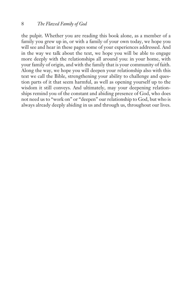the pulpit. Whether you are reading this book alone, as a member of a family you grew up in, or with a family of your own today, we hope you will see and hear in these pages some of your experiences addressed. And in the way we talk about the text, we hope you will be able to engage more deeply with the relationships all around you: in your home, with your family of origin, and with the family that is your community of faith. Along the way, we hope you will deepen your relationship also with this text we call the Bible, strengthening your ability to challenge and question parts of it that seem harmful, as well as opening yourself up to the wisdom it still conveys. And ultimately, may your deepening relationships remind you of the constant and abiding presence of God, who does not need us to "work on" or "deepen" our relationship to God, but who is always already deeply abiding in us and through us, throughout our lives.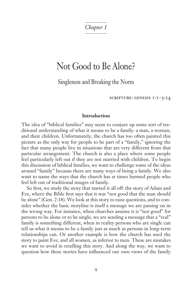*Chapter 1*

## Not Good to Be Alone?

Singleness and Breaking the Norm

scripture: genesis 1:1–3:24

#### **Introduction**

The idea of "biblical families" may seem to conjure up some sort of traditional understanding of what it means to be a family: a man, a woman, and their children. Unfortunately, the church has too often painted this picture as the only way for people to be part of a "family," ignoring the fact that many people live in situations that are very different from that particular arrangement. The church is also a place where some people feel particularly left out if they are not married with children. To begin this discussion of biblical families, we want to challenge some of the ideas around "family" because there are many ways of being a family. We also want to name the ways that the church has at times harmed people who feel left out of traditional images of family.

So first, we study the story that started it all off: the story of Adam and Eve, where the Bible first says that it was "not good that the man should be alone" (Gen. 2:18). We look at this story to raise questions, and to consider whether the basic storyline is itself a message we are passing on in the wrong way. For instance, when churches assume it is "not good" for persons to be alone or to be single, we are sending a message that a "real" family is something different, when in reality persons who are single can tell us what it means to be a family just as much as persons in long-term relationships can. Or another example is how the church has used the story to paint Eve, and all women, as inferior to men. These are mistakes we want to avoid in retelling this story. And along the way, we want to question how these stories have influenced our own views of the family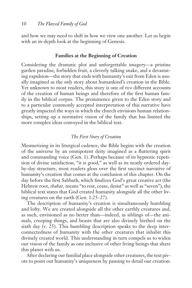and how we may need to shift in how we view one another. Let us begin with an in-depth look at the beginning of Genesis.

#### **Families at the Beginning of Creation**

Considering the dramatic plot and unforgettable imagery—a pristine garden paradise, forbidden fruit, a cleverly talking snake, and a devastating expulsion—the story that ends with humanity's exit from Eden is usually imagined as the *only* story about humankind's creation in the Bible. Yet unknown to most readers, this story is one of *two* different accounts of the creation of human beings and therefore of the first human family in the biblical corpus. The prominence given to the Eden story and to a particular commonly accepted interpretation of this narrative have greatly impacted the ways in which the church envisions human relationships, setting up a normative vision of the family that has limited the more complex ideas conveyed in the biblical text.

#### *The First Story of Creation*

Mesmerizing in its liturgical cadence, the Bible begins with the creation of the universe by an omnipotent deity imagined as a fluttering spirit and commanding voice (Gen. 1). Perhaps because of its hypnotic repetition of divine satisfaction, "it is good," as well as its neatly ordered dayby-day structure, most readers gloss over the first succinct narrative of humanity's creation that comes at the conclusion of this chapter. On the day before the first Sabbath, which finalizes God's great creative act (the Hebrew root, *shabat,* means "to rest, cease, desist" as well as "seven"), the biblical text states that God created humanity alongside all the other living creatures on the earth (Gen. 1:25–27).

The description of humanity's creation is simultaneously humbling and lofty. We are created alongside all the other earthly creatures and, as such, envisioned as no better than—indeed, as siblings of—the animals, creeping things, and beasts that are also divinely birthed on the sixth day (v. 25). This humbling description speaks to the deep interconnectedness of humanity with the other creatures that inhabit this divinely created world. This understanding in turn compels us to widen our vision of the family as one inclusive of other living beings that share this planet with us.

After declaring our familial place alongside other creatures, the text pivots to point out humanity's uniqueness by pausing to detail our creation: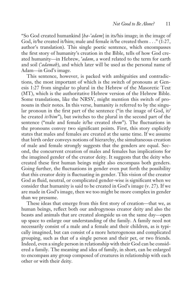"So God created humankind [*ha-*'*adam*] in its/his image; in the image of God, it/he created it/him; male and female it/he created them . . ." (1:27, author's translation). This single poetic sentence, which encompasses the first story of humanity's creation in the Bible, tells of how God created humanity—in Hebrew, '*adam*, a word related to the term for earth and soil ('*adamah*), and which later will be used as the personal name of Adam—in God's image.

This sentence, however, is packed with ambiguities and contradictions, the most important of which is the switch of pronouns at Genesis 1:27 from singular to plural in the Hebrew of the Masoretic Text (MT), which is the authoritative Hebrew version of the Hebrew Bible. Some translations, like the NRSV, might mention this switch of pronouns in their notes. In this verse, humanity is referred to by the singular pronoun in the first part of the sentence ("in the image of God, it/ he created *it/him*"), but switches to the plural in the second part of the sentence ("male and female it/he created *them*"). The fluctuations in the pronouns convey two significant points. First, this story explicitly states that males and females are created at the same time. If we assume that birth order conveys notions of hierarchy, the simultaneous creation of male and female strongly suggests that the genders are equal. Second, the concurrent creation of males and females has implications for the imagined gender of the creator deity. It suggests that the deity who created these first human beings might also encompass both genders. Going further, the fluctuations in gender even put forth the possibility that this creator deity is fluctuating in gender. This vision of the creator God as fluid, neutral, or complicated gender-wise is significant when we consider that humanity is said to be created in God's image (v. 27). If we are made in God's image, then we too might be more complex in gender than we presume.

These ideas that emerge from this first story of creation—that we, as human beings, reflect both our androgynous creator deity and also the beasts and animals that are created alongside us on the same day—open up space to enlarge our understanding of the family. A family need not necessarily consist of a male and a female and their children, as is typically imagined, but can consist of a more heterogenous and complicated grouping, such as that of a single person and their pet, or two friends. Indeed, even a single person in relationship with their God can be considered a family. The meaning and idea of family, in short, can be enlarged to encompass any group composed of creatures in relationship with each other or with their deity.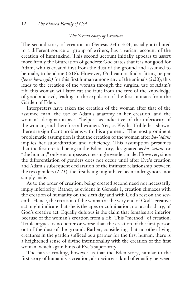#### *The Second Story of Creation*

The second story of creation in Genesis 2:4b–3:24, usually attributed to a different source or group of writers, has a variant account of the creation of humankind. This second account initially appears to assert more firmly the bifurcation of genders: God states that it is not good for Adam, who is created first from the dust of the ground and assumed to be male, to be alone (2:18). However, God cannot find a fitting helper ('*ezer ke-negdo)* for this first human among any of the animals (2:20); this leads to the creation of the woman through the surgical use of Adam's rib; this woman will later eat the fruit from the tree of the knowledge of good and evil, leading to the expulsion of the first humans from the Garden of Eden.

Interpreters have taken the creation of the woman after that of the assumed man, the use of Adam's anatomy in her creation, and the woman's designation as a "helper" as indicative of the inferiority of the woman, and therefore all women. Yet, as Phyllis Trible has shown, there are significant problems with this argument.<sup>1</sup> The most prominent problematic assumption is that the creation of the woman after *ha-'adam* implies her subordination and deficiency. This assumption presumes that the first created being in the Eden story, designated as *ha-'adam,* or "the human," only encompasses one single gender: male. However, since the differentiation of genders does not occur until after Eve's creation and Adam's subsequent declaration of the intimate relationship between the two genders (2:23), the first being might have been androgynous, not simply male.

As to the order of creation, being created second need not necessarily imply inferiority. Rather, as evident in Genesis 1, creation climaxes with the creation of humanity on the sixth day and with God's rest on the seventh. Hence, the creation of the woman at the very end of God's creative act might indicate that she is the apex or culmination, not a subsidiary, of God's creative act. Equally dubious is the claim that females are inferior because of the woman's creation from a rib. This "method" of creation, Trible argues, is no better or worse than the creation of the first person out of the dust of the ground. Rather, considering that no other living creatures in the garden sufficed as a partner for the first human, there is a heightened sense of divine intentionality with the creation of the first woman, which again hints of Eve's superiority.

The fairest reading, however, is that the Eden story, similar to the first story of humanity's creation, also evinces a kind of equality between